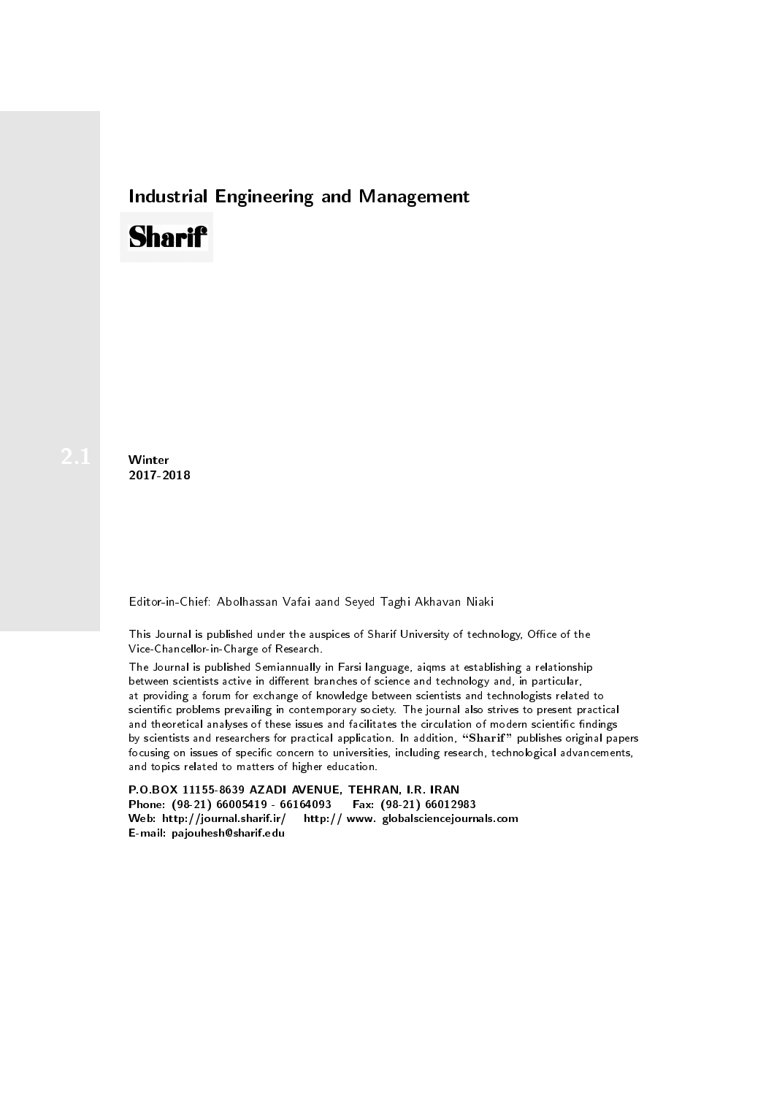## Industrial Engineering and Management

## **Sharif**

**Winter** 2017-2018

Editor-in-Chief: Abolhassan Vafai aand Seyed Taghi Akhavan Niaki

This Journal is published under the auspices of Sharif University of technology, Office of the Vice-Chancellor-in-Charge of Research.

The Journal is published Semiannually in Farsi language, aiqms at establishing a relationship between scientists active in different branches of science and technology and, in particular, at providing a forum for exchange of knowledge between scientists and technologists related to scientic problems prevailing in contemporary society. The journal also strives to present practical and theoretical analyses of these issues and facilitates the circulation of modern scientific findings by scientists and researchers for practical application. In addition, "Sharif" publishes original papers focusing on issues of specific concern to universities, including research, technological advancements, and topics related to matters of higher education.

P.O.BOX 11155-8639 AZADI AVENUE, TEHRAN, I.R. IRAN Phone: (98-21) 66005419 - 66164093 Fax: (98-21) 66012983 Web: http://journal.sharif.ir/ http:// www. globalsciencejournals.com E-mail: pajouhesh@sharif.edu